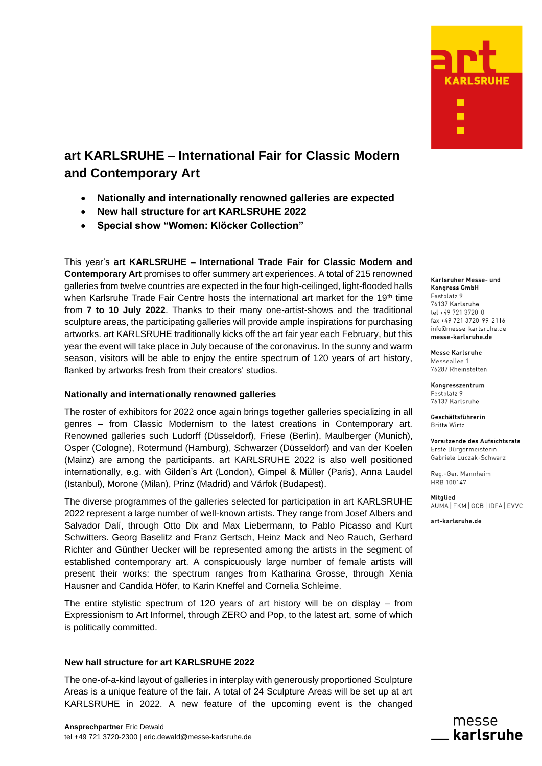

# **art KARLSRUHE – International Fair for Classic Modern and Contemporary Art**

- **Nationally and internationally renowned galleries are expected**
- **New hall structure for art KARLSRUHE 2022**
- **Special show "Women: Klöcker Collection"**

This year's **art KARLSRUHE – International Trade Fair for Classic Modern and Contemporary Art** promises to offer summery art experiences. A total of 215 renowned galleries from twelve countries are expected in the four high-ceilinged, light-flooded halls when Karlsruhe Trade Fair Centre hosts the international art market for the 19<sup>th</sup> time from **7 to 10 July 2022**. Thanks to their many one-artist-shows and the traditional sculpture areas, the participating galleries will provide ample inspirations for purchasing artworks. art KARLSRUHE traditionally kicks off the art fair year each February, but this year the event will take place in July because of the coronavirus. In the sunny and warm season, visitors will be able to enjoy the entire spectrum of 120 years of art history, flanked by artworks fresh from their creators' studios.

## **Nationally and internationally renowned galleries**

The roster of exhibitors for 2022 once again brings together galleries specializing in all genres – from Classic Modernism to the latest creations in Contemporary art. Renowned galleries such Ludorff (Düsseldorf), Friese (Berlin), Maulberger (Munich), Osper (Cologne), Rotermund (Hamburg), Schwarzer (Düsseldorf) and van der Koelen (Mainz) are among the participants. art KARLSRUHE 2022 is also well positioned internationally, e.g. with Gilden's Art (London), Gimpel & Müller (Paris), Anna Laudel (Istanbul), Morone (Milan), Prinz (Madrid) and Várfok (Budapest).

The diverse programmes of the galleries selected for participation in art KARLSRUHE 2022 represent a large number of well-known artists. They range from Josef Albers and Salvador Dalí, through Otto Dix and Max Liebermann, to Pablo Picasso and Kurt Schwitters. Georg Baselitz and Franz Gertsch, Heinz Mack and Neo Rauch, Gerhard Richter and Günther Uecker will be represented among the artists in the segment of established contemporary art. A conspicuously large number of female artists will present their works: the spectrum ranges from Katharina Grosse, through Xenia Hausner and Candida Höfer, to Karin Kneffel and Cornelia Schleime.

The entire stylistic spectrum of 120 years of art history will be on display – from Expressionism to Art Informel, through ZERO and Pop, to the latest art, some of which is politically committed.

## **New hall structure for art KARLSRUHE 2022**

The one-of-a-kind layout of galleries in interplay with generously proportioned Sculpture Areas is a unique feature of the fair. A total of 24 Sculpture Areas will be set up at art KARLSRUHE in 2022. A new feature of the upcoming event is the changed

Karlsruher Messe- und **Kongress GmbH** Festplatz 9 76137 Karlsruhe tel +49 721 3720-0 fax +49 721 3720-99-2116 info@messe-karlsruhe.de messe-karlsruhe.de

**Messe Karlsruhe** Messeallee 1 76287 Rheinstetten

Kongresszentrum Festplatz 9 76137 Karlsruhe

Geschäftsführerin Britta Wirtz

Vorsitzende des Aufsichtsrats Erste Bürgermeisterin Gabriele Luczak-Schwarz

Reg.-Ger. Mannheim HRB 100147

Mitglied AUMA FKM GCB I IDFA LEVVC

art-karlsruhe.de